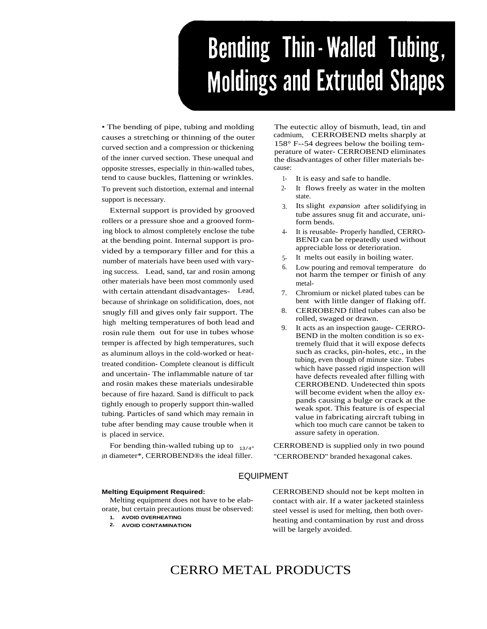# **Bending Thin-Walled Tubing, Moldings and Extruded Shapes**

• The bending of pipe, tubing and molding causes a stretching or thinning of the outer curved section and a compression or thickening of the inner curved section. These unequal and opposite stresses, especially in thin-walled tubes, tend to cause buckles, flattening or wrinkles. To prevent such distortion, external and internal support is necessary.

External support is provided by grooved rollers or a pressure shoe and a grooved forming block to almost completely enclose the tube at the bending point. Internal support is provided by a temporary filler and for this a number of materials have been used with varying success. Lead, sand, tar and rosin among other materials have been most commonly used with certain attendant disadvantages- Lead, because of shrinkage on solidification, does, not snugly fill and gives only fair support. The high melting temperatures of both lead and rosin rule them out for use in tubes whose temper is affected by high temperatures, such as aluminum alloys in the cold-worked or heattreated condition- Complete cleanout is difficult and uncertain- The inflammable nature of tar and rosin makes these materials undesirable because of fire hazard. Sand is difficult to pack tightly enough to properly support thin-walled tubing. Particles of sand which may remain in tube after bending may cause trouble when it is placed in service.

For bending thin-walled tubing up to  $_{13/4"}$ in diameter\*, CERROBEND®s the ideal filler.

The eutectic alloy of bismuth, lead, tin and cadmium, CERROBEND melts sharply at 158° F--54 degrees below the boiling temperature of water- CERROBEND eliminates the disadvantages of other filler materials because:

- 1- It is easy and safe to handle.
- 2- It flows freely as water in the molten state.
- 3. Its slight *expansion* after solidifying in tube assures snug fit and accurate, uniform bends.
- 4- It is reusable- Properly handled, CERRO-BEND can be repeatedly used without appreciable loss or deterioration.
- 5- It melts out easily in boiling water.
- 6. Low pouring and removal temperature do not harm the temper or finish of any metal-
- 7. Chromium or nickel plated tubes can be bent with little danger of flaking off.
- 8. CERROBEND filled tubes can also be rolled, swaged or drawn.
- 9. It acts as an inspection gauge- CERRO-BEND in the molten condition is so extremely fluid that it will expose defects such as cracks, pin-holes, etc., in the tubing, even though of minute size. Tubes which have passed rigid inspection will have defects revealed after filling with CERROBEND. Undetected thin spots will become evident when the alloy expands causing a bulge or crack at the weak spot. This feature is of especial value in fabricating aircraft tubing in which too much care cannot be taken to assure safety in operation.

CERROBEND is supplied only in two pound "CERROBEND" branded hexagonal cakes.

## EQUIPMENT

#### **Melting Equipment Required:**

Melting equipment does not have to be elaborate, but certain precautions must be observed:

**1. AVOID OVERHEATING**

CERROBEND should not be kept molten in contact with air. If a water jacketed stainless steel vessel is used for melting, then both overheating and contamination by rust and dross will be largely avoided.

# CERRO METAL PRODUCTS

**<sup>2.</sup> AVOID CONTAMINATION**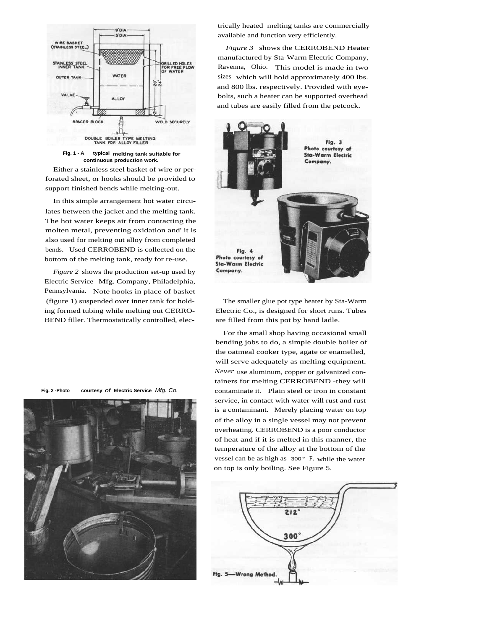

**Fig. 1 - A typical melting tank suitable for continuous production work.**

Either a stainless steel basket of wire or perforated sheet, or hooks should be provided to support finished bends while melting-out.

In this simple arrangement hot water circulates between the jacket and the melting tank. The hot water keeps air from contacting the molten metal, preventing oxidation and' it is also used for melting out alloy from completed bends. Used CERROBEND is collected on the bottom of the melting tank, ready for re-use.

*Figure 2* shows the production set-up used by Electric Service Mfg. Company, Philadelphia, Pennsylvania. Note hooks in place of basket (figure 1) suspended over inner tank for holding formed tubing while melting out CERRO-BEND filler. Thermostatically controlled, elec-

**Fig. 2 -Photo courtesy** of **Electric Service** Mfg. Co.



trically heated melting tanks are commercially available and function very efficiently.

*Figure 3* shows the CERROBEND Heater manufactured by Sta-Warm Electric Company, Ravenna, Ohio. This model is made in two sizes which will hold approximately 400 lbs. and 800 lbs. respectively. Provided with eyebolts, such a heater can be supported overhead and tubes are easily filled from the petcock.



The smaller glue pot type heater by Sta-Warm Electric Co., is designed for short runs. Tubes are filled from this pot by hand ladle.

For the small shop having occasional small bending jobs to do, a simple double boiler of the oatmeal cooker type, agate or enamelled, will serve adequately as melting equipment. *Never* use aluminum, copper or galvanized containers for melting CERROBEND -they will contaminate it. Plain steel or iron in constant service, in contact with water will rust and rust is a contaminant. Merely placing water on top of the alloy in a single vessel may not prevent overheating. CERROBEND is a poor conductor of heat and if it is melted in this manner, the temperature of the alloy at the bottom of the vessel can be as high as 300° F. while the water on top is only boiling. See Figure 5.

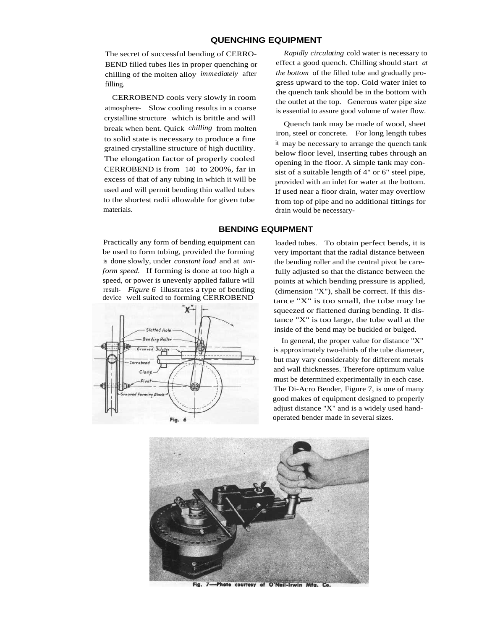#### **QUENCHING EQUIPMENT**

The secret of successful bending of CERRO-BEND filled tubes lies in proper quenching or chilling of the molten alloy *immediately* after filling.

CERROBEND cools very slowly in room atmosphere- Slow cooling results in a coarse crystalline structure which is brittle and will break when bent. Quick *chilling* from molten to solid state is necessary to produce a fine grained crystalline structure of high ductility. The elongation factor of properly cooled CERROBEND is from 140 to 200%, far in excess of that of any tubing in which it will be used and will permit bending thin walled tubes to the shortest radii allowable for given tube materials.

Practically any form of bending equipment can be used to form tubing, provided the forming is done slowly, under *constant load* and at *uniform speed.* If forming is done at too high a speed, or power is unevenly applied failure will result- *Figure 6* illustrates a type of bending device well suited to forming CERROBEND



*Rapidly circulating* cold water is necessary to effect a good quench. Chilling should start *at the bottom* of the filled tube and gradually progress upward to the top. Cold water inlet to the quench tank should be in the bottom with the outlet at the top. Generous water pipe size is essential to assure good volume of water flow.

Quench tank may be made of wood, sheet iron, steel or concrete. For long length tubes it may be necessary to arrange the quench tank below floor level, inserting tubes through an opening in the floor. A simple tank may consist of a suitable length of 4" or 6" steel pipe, provided with an inlet for water at the bottom. If used near a floor drain, water may overflow from top of pipe and no additional fittings for drain would be necessary-

#### **BENDING EQUIPMENT**

loaded tubes. To obtain perfect bends, it is very important that the radial distance between the bending roller and the central pivot be carefully adjusted so that the distance between the points at which bending pressure is applied, (dimension "X"), shall be correct. If this distance "X" is too small, the tube may be squeezed or flattened during bending. If distance "X" is too large, the tube wall at the inside of the bend may be buckled or bulged.

In general, the proper value for distance "X" is approximately two-thirds of the tube diameter, but may vary considerably for different metals and wall thicknesses. Therefore optimum value must be determined experimentally in each case. The Di-Acro Bender, Figure 7, is one of many good makes of equipment designed to properly adjust distance "X" and is a widely used handoperated bender made in several sizes.



Fig. 7-Photo courtesy of O'Neil-Irwin Mfg.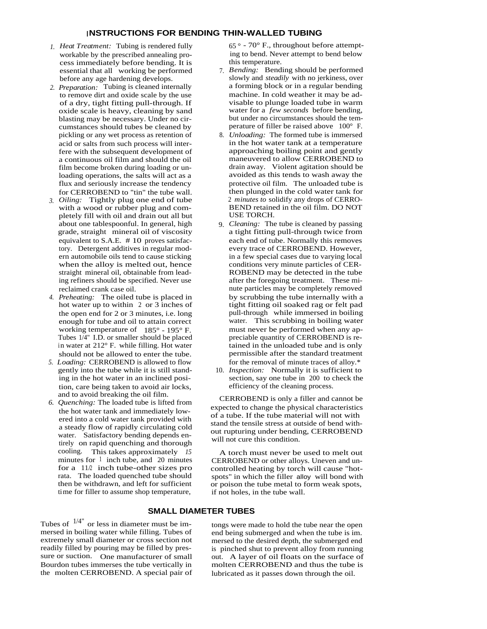#### **INSTRUCTIONS FOR BENDING THIN-WALLED TUBING**

- *1. Heat Treatment:* Tubing is rendered fully workable by the prescribed annealing process immediately before bending. It is essential that all working be performed before any age hardening develops.
- *2. Preparation:* Tubing is cleaned internally to remove dirt and oxide scale by the use of a dry, tight fitting pull-through. If oxide scale is heavy, cleaning by sand blasting may be necessary. Under no circumstances should tubes be cleaned by pickling or any wet process as retention of acid or salts from such process will interfere with the subsequent development of a continuous oil film and should the oil film become broken during loading or unloading operations, the salts will act as a flux and seriously increase the tendency for CERROBEND to "tin" the tube wall.
- *3. Oiling:* Tightly plug one end of tube with a wood or rubber plug and completely fill with oil and drain out all but about one tablespoonful. In general, high grade, straight mineral oil of viscosity equivalent to S.A.E. # 10 proves satisfactory. Detergent additives in regular modern automobile oils tend to cause sticking when the alloy is melted out, hence straight mineral oil, obtainable from leading refiners should be specified. Never use reclaimed crank case oil.
- *4. Preheating:* The oiled tube is placed in hot water up to within 2 or 3 inches of the open end for 2 or 3 minutes, i.e. long enough for tube and oil to attain correct working temperature of 185° - 195° F. Tubes 1/4" I.D. or smaller should be placed in water at 212° F. while filling. Hot water should not be allowed to enter the tube.
- *5. Loading:* CERROBEND is allowed to flow gently into the tube while it is still standing in the hot water in an inclined position, care being taken to avoid air locks, and to avoid breaking the oil film.
- *6. Quenching:* The loaded tube is lifted from the hot water tank and immediately lowered into a cold water tank provided with a steady flow of rapidly circulating cold water. Satisfactory bending depends entirely on rapid quenching and thorough cooling. This takes approximately *15* minutes for  $1$  inch tube, and 20 minutes for a 11/2 inch tube-other sizes pro rata. The loaded quenched tube should then be withdrawn, and left for sufficient time for filler to assume shop temperature,

 $65^\circ$  - 70° F., throughout before attempting to bend. Never attempt to bend below this temperature.

- 7. *Bending:* Bending should be performed slowly and *steadily* with no jerkiness, over a forming block or in a regular bending machine. In cold weather it may be advisable to plunge loaded tube in warm water for a *few seconds* before bending, but under no circumstances should the temperature of filler be raised above 100° F.
- 8. *Unloading:* The formed tube is immersed in the hot water tank at a temperature approaching boiling point and gently maneuvered to allow CERROBEND to drain away. Violent agitation should be avoided as this tends to wash away the protective oil film. The unloaded tube is then plunged in the cold water tank for 2 *minutes to* solidify any drops of CERRO-BEND retained in the oil film. DO NOT USE TORCH.
- 9. *Cleaning:* The tube is cleaned by passing a tight fitting pull-through twice from each end of tube. Normally this removes every trace of CERROBEND. However, in a few special cases due to varying local conditions very minute particles of CER-ROBEND may be detected in the tube after the foregoing treatment. These minute particles may be completely removed by scrubbing the tube internally with a tight fitting oil soaked rag or felt pad pull-through while immersed in boiling water. This scrubbing in boiling water must never be performed when any appreciable quantity of CERROBEND is retained in the unloaded tube and is only permissible after the standard treatment for the removal of minute traces of alloy.\*
- 10. *Inspection:* Normally it is sufficient to section, say one tube in 200 to check the efficiency of the cleaning process.

CERROBEND is only a filler and cannot be expected to change the physical characteristics of a tube. If the tube material will not with stand the tensile stress at outside of bend without rupturing under bending, CERROBEND will not cure this condition.

A torch must never be used to melt out CERROBEND or other alloys. Uneven and uncontrolled heating by torch will cause "hotspots" in which the filler alloy will bond with or poison the tube metal to form weak spots, if not holes, in the tube wall.

#### **SMALL DIAMETER TUBES**

Tubes of  $1/4$ " or less in diameter must be immersed in boiling water while filling. Tubes of extremely small diameter or cross section not readily filled by pouring may be filled by pressure or suction. One manufacturer of small Bourdon tubes immerses the tube vertically in the molten CERROBEND. A special pair of

tongs were made to hold the tube near the open end being submerged and when the tube is im. mersed to the desired depth, the submerged end is pinched shut to prevent alloy from running out. A layer of oil floats on the surface of molten CERROBEND and thus the tube is lubricated as it passes down through the oil.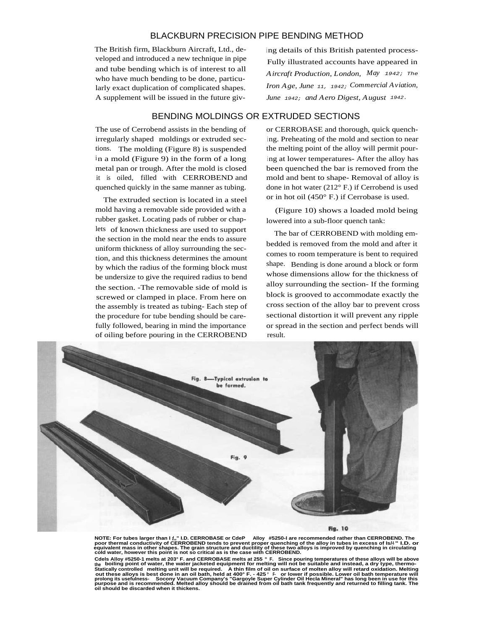### BLACKBURN PRECISION PIPE BENDING METHOD

The British firm, Blackburn Aircraft, Ltd., developed and introduced a new technique in pipe and tube bending which is of interest to all who have much bending to be done, particularly exact duplication of complicated shapes. A supplement will be issued in the future giv-

ing details of this British patented process-Fully illustrated accounts have appeared in *Aircraft Production, London, May* 1942; The *Iron Age, June* 11, 1942; *Commercial Aviation, June* 1942; *and Aero Digest, August* 1942.

# BENDING MOLDINGS OR EXTRUDED SECTIONS

The use of Cerrobend assists in the bending of irregularly shaped moldings or extruded sections. The molding (Figure 8) is suspended in a mold (Figure 9) in the form of a long metal pan or trough. After the mold is closed it is oiled, filled with CERROBEND and quenched quickly in the same manner as tubing.

The extruded section is located in a steel mold having a removable side provided with a rubber gasket. Locating pads of rubber or chaplets of known thickness are used to support the section in the mold near the ends to assure uniform thickness of alloy surrounding the section, and this thickness determines the amount by which the radius of the forming block must be undersize to give the required radius to bend the section. -The removable side of mold is screwed or clamped in place. From here on the assembly is treated as tubing- Each step of the procedure for tube bending should be carefully followed, bearing in mind the importance of oiling before pouring in the CERROBEND

or CERROBASE and thorough, quick quenching. Preheating of the mold and section to near the melting point of the alloy will permit pouring at lower temperatures- After the alloy has been quenched the bar is removed from the mold and bent to shape- Removal of alloy is done in hot water (212° F.) if Cerrobend is used or in hot oil (450° F.) if Cerrobase is used.

(Figure 10) shows a loaded mold being lowered into a sub-floor quench tank:

The bar of CERROBEND with molding embedded is removed from the mold and after it comes to room temperature is bent to required shape. Bending is done around a block or form whose dimensions allow for the thickness of alloy surrounding the section- If the forming block is grooved to accommodate exactly the cross section of the alloy bar to prevent cross sectional distortion it will prevent any ripple or spread in the section and perfect bends will result.



NOTE: For tubes larger than I f,," I.D. CERROBASE or CdeP Alloy #5250-I are recommended rather than CERROBEND. The<br>poor thermal conductivity of CERROBEND tends to prevent proper quenching of the alloy in tubes in excess of

Cdels Alloy #5250-1 melts at 203° F. and CERROBASE melts at 255 ° F. Since pouring temperatures of these alloys will be above<br><sub>the </sub> boiling point of water, the water jacketed equipment for melting will not be suitable a Statically controlled \_melting unit will be required. \_\_A thin film of oil on surface of molten alloy will retard oxidation. Melting<br>out these alloys is best done in an oil bath, held at 400° F. - 425 ° F. or lower if poss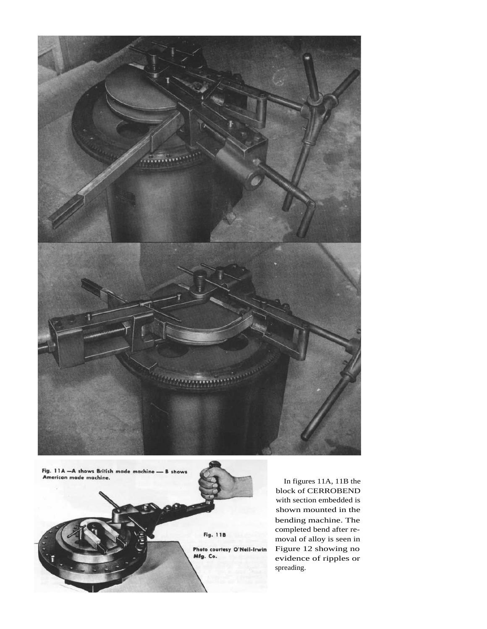

Fig. 11A - A shows British made machine -<br>American made machine. - B shows



In figures 11A, 11B the block of CERROBEND with section embedded is shown mounted in the bending machine. The completed bend after removal of alloy is seen in Figure 12 showing no evidence of ripples or spreading.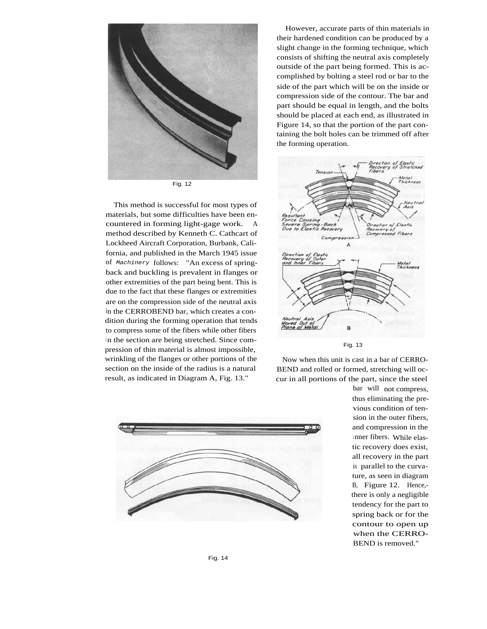

This method is successful for most types of materials, but some difficulties have been encountered in forming light-gage work. A method described by Kenneth C. Cathcart of Lockheed Aircraft Corporation, Burbank, California, and published in the March 1945 issue of Machinery follows: "An excess of springback and buckling is prevalent in flanges or other extremities of the part being bent. This is due to the fact that these flanges or extremities are on the compression side of the neutral axis in the CERROBEND bar, which creates a condition during the forming operation that tends to compress some of the fibers while other fibers in the section are being stretched. Since compression of thin material is almost impossible, wrinkling of the flanges or other portions of the section on the inside of the radius is a natural result, as indicated in Diagram A, Fig. 13."



However, accurate parts of thin materials in their hardened condition can be produced by a slight change in the forming technique, which consists of shifting the neutral axis completely outside of the part being formed. This is accomplished by bolting a steel rod or bar to the side of the part which will be on the inside or compression side of the contour. The bar and part should be equal in length, and the bolts should be placed at each end, as illustrated in Figure 14, so that the portion of the part containing the bolt holes can be trimmed off after the forming operation.



Fig. 13

Now when this unit is cast in a bar of CERRO-BEND and rolled or formed, stretching will occur in all portions of the part, since the steel

> bar will not compress, thus eliminating the previous condition of tension in the outer fibers, and compression in the inner fibers. While elastic recovery does exist, all recovery in the part is parallel to the curvature, as seen in diagram B, Figure 12. Hence, there is only a negligible tendency for the part to spring back or for the contour to open up when the CERRO-BEND is removed."